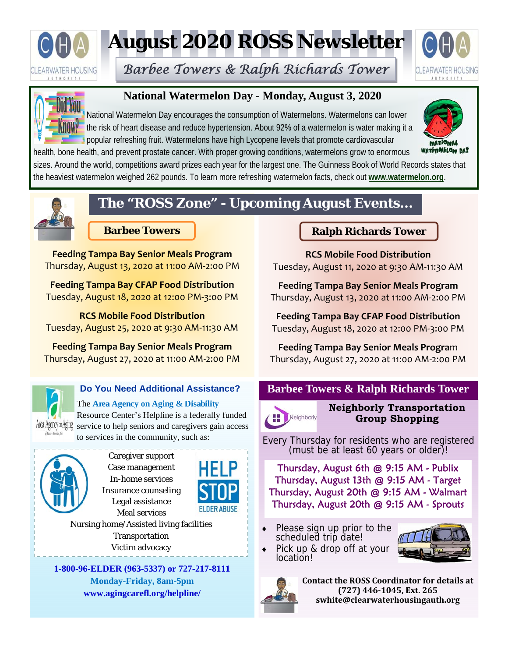

# **August 2020 ROSS Newsletter**

*Barbee Towers & Ralph Richards Tower* 





### **National Watermelon Day - Monday, August 3, 2020**

National Watermelon Day encourages the consumption of Watermelons. Watermelons can lower the risk of heart disease and reduce hypertension. About 92% of a watermelon is water making it a popular refreshing fruit. Watermelons have high Lycopene levels that promote cardiovascular



health, bone health, and prevent prostate cancer. With proper growing conditions, watermelons grow to enormous sizes. Around the world, competitions award prizes each year for the largest one. The Guinness Book of World Records states that the heaviest watermelon weighed 262 pounds. To learn more refreshing watermelon facts, check out **www.watermelon.org**.



# **The "ROSS Zone" - Upcoming August Events...**

**Feeding Tampa Bay Senior Meals Program**  Thursday, August 13, 2020 at 11:00 AM‐2:00 PM

**Feeding Tampa Bay CFAP Food Distribution**  Tuesday, August 18, 2020 at 12:00 PM‐3:00 PM

**RCS Mobile Food Distribution**  Tuesday, August 25, 2020 at 9:30 AM‐11:30 AM

**Feeding Tampa Bay Senior Meals Program**  Thursday, August 27, 2020 at 11:00 AM‐2:00 PM



#### **Do You Need Additional Assistance?**

The **Area Agency on Aging & Disability**  Resource Center's Helpline is a federally funded Area Agency on Aging service to help seniors and caregivers gain access

to services in the community, such as:



Caregiver support Case management In-home services Insurance counseling Legal assistance Meal services



Nursing home/Assisted living facilities Transportation Victim advocacy

**1-800-96-ELDER (963-5337) or 727-217-8111 Monday-Friday, 8am-5pm www.agingcarefl.org/helpline/** 

### **Barbee Towers Ralph Richards Tower All Ralph Richards Tower**

**RCS Mobile Food Distribution**  Tuesday, August 11, 2020 at 9:30 AM‐11:30 AM

**Feeding Tampa Bay Senior Meals Program**  Thursday, August 13, 2020 at 11:00 AM‐2:00 PM

**Feeding Tampa Bay CFAP Food Distribution**  Tuesday, August 18, 2020 at 12:00 PM‐3:00 PM

**Feeding Tampa Bay Senior Meals Progra**m Thursday, August 27, 2020 at 11:00 AM‐2:00 PM

### **Barbee Towers & Ralph Richards Tower**



**Neighborly Transportation Group Shopping** 

Every Thursday for residents who are registered (must be at least 60 years or older)!

Thursday, August 6th @ 9:15 AM - Publix Thursday, August 13th @ 9:15 AM - Target Thursday, August 20th @ 9:15 AM - Walmart Thursday, August 20th @ 9:15 AM - Sprouts

 Please sign up prior to the scheduled trip date!



 Pick up & drop off at your location!



**Contact the ROSS Coordinator for details at (727) 446‐1045, Ext. 265 swhite@clearwaterhousingauth.org**